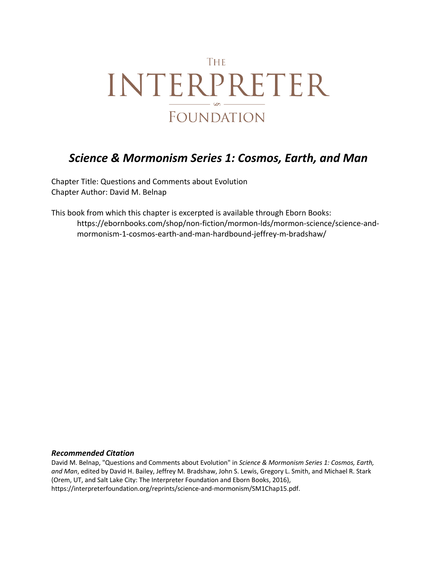# **THE** INTERPRETER FOUNDATION

### *Science & Mormonism Series 1: Cosmos, Earth, and Man*

Chapter Title: Questions and Comments about Evolution Chapter Author: David M. Belnap

This book from which this chapter is excerpted is available through Eborn Books: https://ebornbooks.com/shop/non-fiction/mormon-lds/mormon-science/science-andmormonism-1-cosmos-earth-and-man-hardbound-jeffrey-m-bradshaw/

#### *Recommended Citation*

David M. Belnap, "Questions and Comments about Evolution" in *Science & Mormonism Series 1: Cosmos, Earth, and Man*, edited by David H. Bailey, Jeffrey M. Bradshaw, John S. Lewis, Gregory L. Smith, and Michael R. Stark (Orem, UT, and Salt Lake City: The Interpreter Foundation and Eborn Books, 2016), https://interpreterfoundation.org/reprints/science-and-mormonism/SM1Chap15.pdf.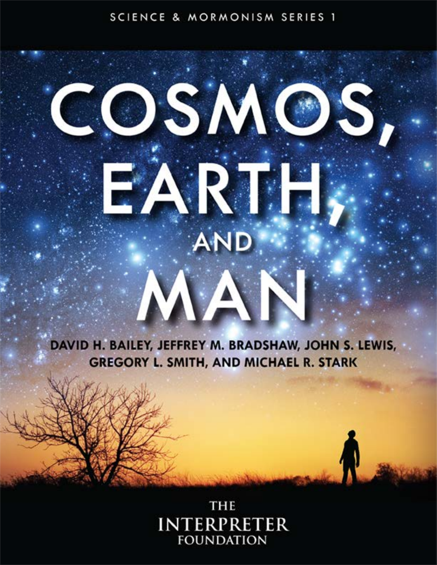### **SCIENCE & MORMONISM SERIES 1**

COSMOS,

EARTH

AND

### DAVID H. BAILEY, JEFFREY M. BRADSHAW, JOHN S. LEWIS, **GREGORY L. SMITH, AND MICHAEL R. STARK**

**THE** INTERPRETER **FOUNDATION**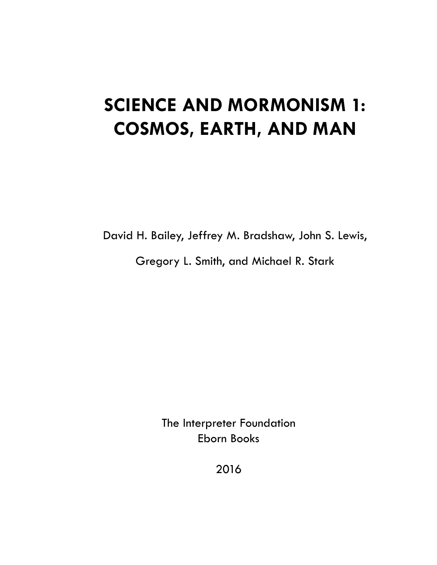## **SCIENCE AND MORMONISM 1: COSMOS, EARTH, AND MAN**

David H. Bailey, Jeffrey M. Bradshaw, John S. Lewis, Gregory L. Smith, and Michael R. Stark

> The Interpreter Foundation Eborn Books

> > 2016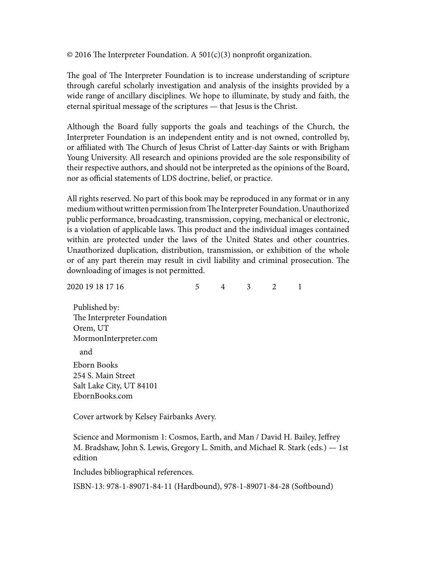$\odot$  2016 The Interpreter Foundation. A 501(c)(3) nonprofit organization.

The goal of The Interpreter Foundation is to increase understanding of scripture through careful scholarly investigation and analysis of the insights provided by a wide range of ancillary disciplines. We hope to illuminate, by study and faith, the eternal spiritual message of the scriptures — that Jesus is the Christ.

Although the Board fully supports the goals and teachings of the Church, the Interpreter Foundation is an independent entity and is not owned, controlled by, or affiliated with The Church of Jesus Christ of Latter-day Saints or with Brigham Young University. All research and opinions provided are the sole responsibility of their respective authors, and should not be interpreted as the opinions of the Board, nor as official statements of LDS doctrine, belief, or practice.

All rights reserved. No part of this book may be reproduced in any format or in any medium without written permission from The Interpreter Foundation. Unauthorized public performance, broadcasting, transmission, copying, mechanical or electronic, is a violation of applicable laws. This product and the individual images contained within are protected under the laws of the United States and other countries. Unauthorized duplication, distribution, transmission, or exhibition of the whole or of any part therein may result in civil liability and criminal prosecution. The downloading of images is not permitted.

| 2020 19 18 17 16                                                                                                                                                         | 5 | 4 | 3 | $\mathfrak{D}$ |  |
|--------------------------------------------------------------------------------------------------------------------------------------------------------------------------|---|---|---|----------------|--|
| Published by:<br>The Interpreter Foundation<br>Orem, UT<br>MormonInterpreter.com                                                                                         |   |   |   |                |  |
| and                                                                                                                                                                      |   |   |   |                |  |
| Eborn Books<br>254 S. Main Street<br>Salt Lake City, UT 84101<br>EbornBooks.com                                                                                          |   |   |   |                |  |
| Cover artwork by Kelsey Fairbanks Avery.                                                                                                                                 |   |   |   |                |  |
| Science and Mormonism 1: Cosmos, Earth, and Man / David H. Bailey, Jeffrey<br>M. Bradshaw, John S. Lewis, Gregory L. Smith, and Michael R. Stark (eds.) - 1st<br>edition |   |   |   |                |  |
| Includes bibliographical references.                                                                                                                                     |   |   |   |                |  |
|                                                                                                                                                                          |   |   |   |                |  |

ISBN-13: 978-1-89071-84-11 (Hardbound), 978-1-89071-84-28 (Softbound)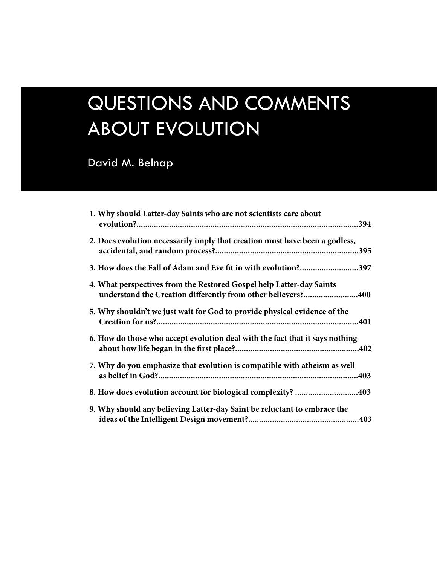# QUESTIONS AND COMMENTS ABOUT EVOLUTION

David M. Belnap

| 1. Why should Latter-day Saints who are not scientists care about                                                                    |
|--------------------------------------------------------------------------------------------------------------------------------------|
| 2. Does evolution necessarily imply that creation must have been a godless,                                                          |
| 3. How does the Fall of Adam and Eve fit in with evolution?397                                                                       |
| 4. What perspectives from the Restored Gospel help Latter-day Saints<br>understand the Creation differently from other believers?400 |
| 5. Why shouldn't we just wait for God to provide physical evidence of the                                                            |
| 6. How do those who accept evolution deal with the fact that it says nothing                                                         |
| 7. Why do you emphasize that evolution is compatible with atheism as well                                                            |
|                                                                                                                                      |
| 9. Why should any believing Latter-day Saint be reluctant to embrace the                                                             |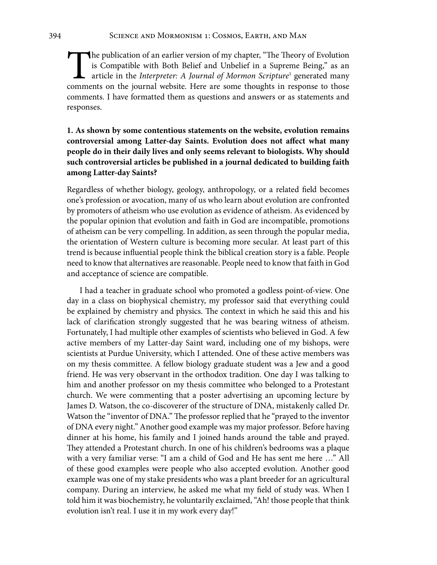The publication of an earlier version of my chapter, "The Theory of Evolution is Compatible with Both Belief and Unbelief in a Supreme Being," as an article in the *Interpreter: A Journal of Mormon Scripture*<sup>1</sup> generated is Compatible with Both Belief and Unbelief in a Supreme Being," as an article in the *Interpreter: A Journal of Mormon Scripture*<sup>1</sup> generated many comments on the journal website. Here are some thoughts in response to those comments. I have formatted them as questions and answers or as statements and responses.

#### **1. As shown by some contentious statements on the website, evolution remains controversial among Latter-day Saints. Evolution does not affect what many people do in their daily lives and only seems relevant to biologists. Why should such controversial articles be published in a journal dedicated to building faith among Latter-day Saints?**

Regardless of whether biology, geology, anthropology, or a related field becomes one's profession or avocation, many of us who learn about evolution are confronted by promoters of atheism who use evolution as evidence of atheism. As evidenced by the popular opinion that evolution and faith in God are incompatible, promotions of atheism can be very compelling. In addition, as seen through the popular media, the orientation of Western culture is becoming more secular. At least part of this trend is because influential people think the biblical creation story is a fable. People need to know that alternatives are reasonable. People need to know that faith in God and acceptance of science are compatible.

I had a teacher in graduate school who promoted a godless point-of-view. One day in a class on biophysical chemistry, my professor said that everything could be explained by chemistry and physics. The context in which he said this and his lack of clarification strongly suggested that he was bearing witness of atheism. Fortunately, I had multiple other examples of scientists who believed in God. A few active members of my Latter-day Saint ward, including one of my bishops, were scientists at Purdue University, which I attended. One of these active members was on my thesis committee. A fellow biology graduate student was a Jew and a good friend. He was very observant in the orthodox tradition. One day I was talking to him and another professor on my thesis committee who belonged to a Protestant church. We were commenting that a poster advertising an upcoming lecture by James D. Watson, the co-discoverer of the structure of DNA, mistakenly called Dr. Watson the "inventor of DNA." The professor replied that he "prayed to the inventor of DNA every night." Another good example was my major professor. Before having dinner at his home, his family and I joined hands around the table and prayed. They attended a Protestant church. In one of his children's bedrooms was a plaque with a very familiar verse: "I am a child of God and He has sent me here …" All of these good examples were people who also accepted evolution. Another good example was one of my stake presidents who was a plant breeder for an agricultural company. During an interview, he asked me what my field of study was. When I told him it was biochemistry, he voluntarily exclaimed, "Ah! those people that think evolution isn't real. I use it in my work every day!"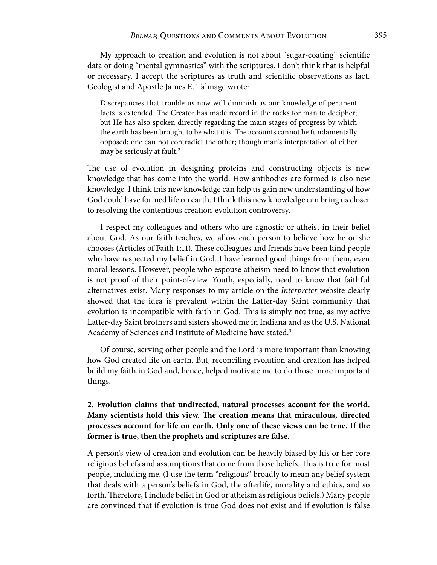My approach to creation and evolution is not about "sugar-coating" scientific data or doing "mental gymnastics" with the scriptures. I don't think that is helpful or necessary. I accept the scriptures as truth and scientific observations as fact. Geologist and Apostle James E. Talmage wrote:

Discrepancies that trouble us now will diminish as our knowledge of pertinent facts is extended. The Creator has made record in the rocks for man to decipher; but He has also spoken directly regarding the main stages of progress by which the earth has been brought to be what it is. The accounts cannot be fundamentally opposed; one can not contradict the other; though man's interpretation of either may be seriously at fault.<sup>2</sup>

The use of evolution in designing proteins and constructing objects is new knowledge that has come into the world. How antibodies are formed is also new knowledge. I think this new knowledge can help us gain new understanding of how God could have formed life on earth. I think this new knowledge can bring us closer to resolving the contentious creation-evolution controversy.

I respect my colleagues and others who are agnostic or atheist in their belief about God. As our faith teaches, we allow each person to believe how he or she chooses (Articles of Faith 1:11). These colleagues and friends have been kind people who have respected my belief in God. I have learned good things from them, even moral lessons. However, people who espouse atheism need to know that evolution is not proof of their point-of-view. Youth, especially, need to know that faithful alternatives exist. Many responses to my article on the *Interpreter* website clearly showed that the idea is prevalent within the Latter-day Saint community that evolution is incompatible with faith in God. This is simply not true, as my active Latter-day Saint brothers and sisters showed me in Indiana and as the U.S. National Academy of Sciences and Institute of Medicine have stated.<sup>3</sup>

Of course, serving other people and the Lord is more important than knowing how God created life on earth. But, reconciling evolution and creation has helped build my faith in God and, hence, helped motivate me to do those more important things.

#### **2. Evolution claims that undirected, natural processes account for the world. Many scientists hold this view. The creation means that miraculous, directed processes account for life on earth. Only one of these views can be true. If the former is true, then the prophets and scriptures are false.**

A person's view of creation and evolution can be heavily biased by his or her core religious beliefs and assumptions that come from those beliefs. This is true for most people, including me. (I use the term "religious" broadly to mean any belief system that deals with a person's beliefs in God, the afterlife, morality and ethics, and so forth. Therefore, I include belief in God or atheism as religious beliefs.) Many people are convinced that if evolution is true God does not exist and if evolution is false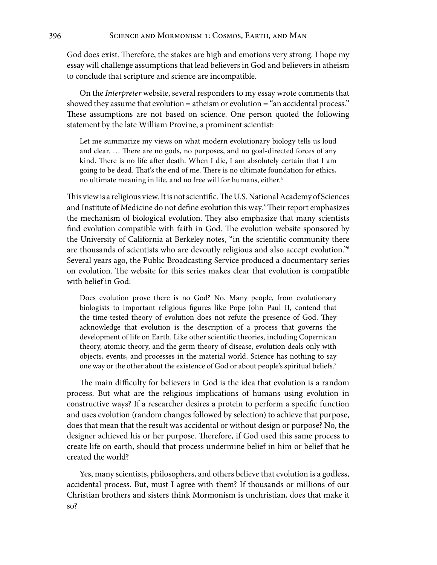God does exist. Therefore, the stakes are high and emotions very strong. I hope my essay will challenge assumptions that lead believers in God and believers in atheism to conclude that scripture and science are incompatible.

On the *Interpreter* website, several responders to my essay wrote comments that showed they assume that evolution = atheism or evolution = "an accidental process." These assumptions are not based on science. One person quoted the following statement by the late William Provine, a prominent scientist:

Let me summarize my views on what modern evolutionary biology tells us loud and clear. … There are no gods, no purposes, and no goal-directed forces of any kind. There is no life after death. When I die, I am absolutely certain that I am going to be dead. That's the end of me. There is no ultimate foundation for ethics, no ultimate meaning in life, and no free will for humans, either.<sup>4</sup>

This view is a religious view. It is not scientific. The U.S. National Academy of Sciences and Institute of Medicine do not define evolution this way.<sup>5</sup> Their report emphasizes the mechanism of biological evolution. They also emphasize that many scientists find evolution compatible with faith in God. The evolution website sponsored by the University of California at Berkeley notes, "in the scientific community there are thousands of scientists who are devoutly religious and also accept evolution."6 Several years ago, the Public Broadcasting Service produced a documentary series on evolution. The website for this series makes clear that evolution is compatible with belief in God:

Does evolution prove there is no God? No. Many people, from evolutionary biologists to important religious figures like Pope John Paul II, contend that the time-tested theory of evolution does not refute the presence of God. They acknowledge that evolution is the description of a process that governs the development of life on Earth. Like other scientific theories, including Copernican theory, atomic theory, and the germ theory of disease, evolution deals only with objects, events, and processes in the material world. Science has nothing to say one way or the other about the existence of God or about people's spiritual beliefs.7

The main difficulty for believers in God is the idea that evolution is a random process. But what are the religious implications of humans using evolution in constructive ways? If a researcher desires a protein to perform a specific function and uses evolution (random changes followed by selection) to achieve that purpose, does that mean that the result was accidental or without design or purpose? No, the designer achieved his or her purpose. Therefore, if God used this same process to create life on earth, should that process undermine belief in him or belief that he created the world?

Yes, many scientists, philosophers, and others believe that evolution is a godless, accidental process. But, must I agree with them? If thousands or millions of our Christian brothers and sisters think Mormonism is unchristian, does that make it so?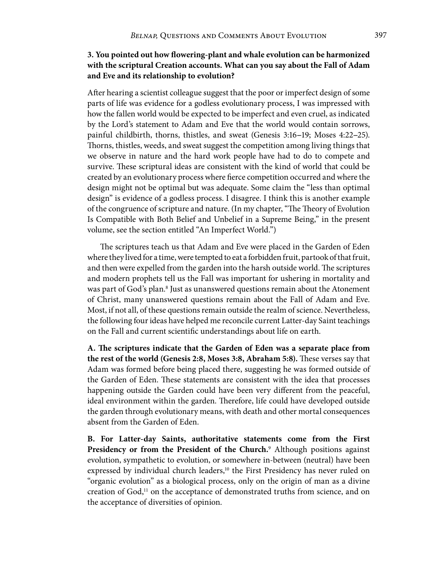#### **3. You pointed out how flowering-plant and whale evolution can be harmonized with the scriptural Creation accounts. What can you say about the Fall of Adam and Eve and its relationship to evolution?**

After hearing a scientist colleague suggest that the poor or imperfect design of some parts of life was evidence for a godless evolutionary process, I was impressed with how the fallen world would be expected to be imperfect and even cruel, as indicated by the Lord's statement to Adam and Eve that the world would contain sorrows, painful childbirth, thorns, thistles, and sweat (Genesis 3:16−19; Moses 4:22−25). Thorns, thistles, weeds, and sweat suggest the competition among living things that we observe in nature and the hard work people have had to do to compete and survive. These scriptural ideas are consistent with the kind of world that could be created by an evolutionary process where fierce competition occurred and where the design might not be optimal but was adequate. Some claim the "less than optimal design" is evidence of a godless process. I disagree. I think this is another example of the congruence of scripture and nature. (In my chapter, "The Theory of Evolution Is Compatible with Both Belief and Unbelief in a Supreme Being," in the present volume, see the section entitled "An Imperfect World.")

The scriptures teach us that Adam and Eve were placed in the Garden of Eden where they lived for a time, were tempted to eat a forbidden fruit, partook of that fruit, and then were expelled from the garden into the harsh outside world. The scriptures and modern prophets tell us the Fall was important for ushering in mortality and was part of God's plan.<sup>8</sup> Just as unanswered questions remain about the Atonement of Christ, many unanswered questions remain about the Fall of Adam and Eve. Most, if not all, of these questions remain outside the realm of science. Nevertheless, the following four ideas have helped me reconcile current Latter-day Saint teachings on the Fall and current scientific understandings about life on earth.

**A. The scriptures indicate that the Garden of Eden was a separate place from the rest of the world (Genesis 2:8, Moses 3:8, Abraham 5:8).** These verses say that Adam was formed before being placed there, suggesting he was formed outside of the Garden of Eden. These statements are consistent with the idea that processes happening outside the Garden could have been very different from the peaceful, ideal environment within the garden. Therefore, life could have developed outside the garden through evolutionary means, with death and other mortal consequences absent from the Garden of Eden.

**B. For Latter-day Saints, authoritative statements come from the First**  Presidency or from the President of the Church.<sup>9</sup> Although positions against evolution, sympathetic to evolution, or somewhere in-between (neutral) have been expressed by individual church leaders,<sup>10</sup> the First Presidency has never ruled on "organic evolution" as a biological process, only on the origin of man as a divine creation of  $God<sub>11</sub><sup>11</sup>$  on the acceptance of demonstrated truths from science, and on the acceptance of diversities of opinion.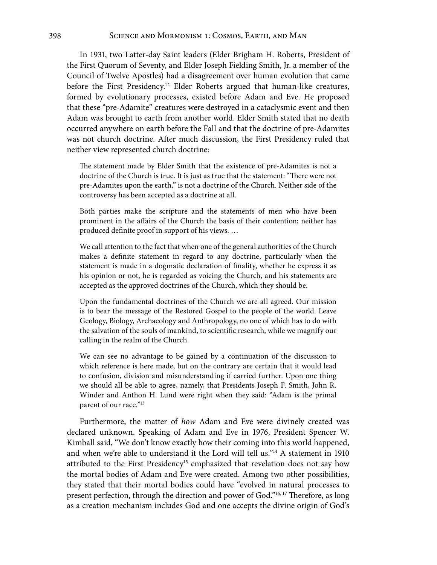In 1931, two Latter-day Saint leaders (Elder Brigham H. Roberts, President of the First Quorum of Seventy, and Elder Joseph Fielding Smith, Jr. a member of the Council of Twelve Apostles) had a disagreement over human evolution that came before the First Presidency.<sup>12</sup> Elder Roberts argued that human-like creatures, formed by evolutionary processes, existed before Adam and Eve. He proposed that these "pre-Adamite" creatures were destroyed in a cataclysmic event and then Adam was brought to earth from another world. Elder Smith stated that no death occurred anywhere on earth before the Fall and that the doctrine of pre-Adamites was not church doctrine. After much discussion, the First Presidency ruled that neither view represented church doctrine:

The statement made by Elder Smith that the existence of pre-Adamites is not a doctrine of the Church is true. It is just as true that the statement: "There were not pre-Adamites upon the earth," is not a doctrine of the Church. Neither side of the controversy has been accepted as a doctrine at all.

Both parties make the scripture and the statements of men who have been prominent in the affairs of the Church the basis of their contention; neither has produced definite proof in support of his views. …

We call attention to the fact that when one of the general authorities of the Church makes a definite statement in regard to any doctrine, particularly when the statement is made in a dogmatic declaration of finality, whether he express it as his opinion or not, he is regarded as voicing the Church, and his statements are accepted as the approved doctrines of the Church, which they should be.

Upon the fundamental doctrines of the Church we are all agreed. Our mission is to bear the message of the Restored Gospel to the people of the world. Leave Geology, Biology, Archaeology and Anthropology, no one of which has to do with the salvation of the souls of mankind, to scientific research, while we magnify our calling in the realm of the Church.

We can see no advantage to be gained by a continuation of the discussion to which reference is here made, but on the contrary are certain that it would lead to confusion, division and misunderstanding if carried further. Upon one thing we should all be able to agree, namely, that Presidents Joseph F. Smith, John R. Winder and Anthon H. Lund were right when they said: "Adam is the primal parent of our race."<sup>13</sup>

Furthermore, the matter of *how* Adam and Eve were divinely created was declared unknown. Speaking of Adam and Eve in 1976, President Spencer W. Kimball said, "We don't know exactly how their coming into this world happened, and when we're able to understand it the Lord will tell us."14 A statement in 1910 attributed to the First Presidency<sup>15</sup> emphasized that revelation does not say how the mortal bodies of Adam and Eve were created. Among two other possibilities, they stated that their mortal bodies could have "evolved in natural processes to present perfection, through the direction and power of God."16, 17 Therefore, as long as a creation mechanism includes God and one accepts the divine origin of God's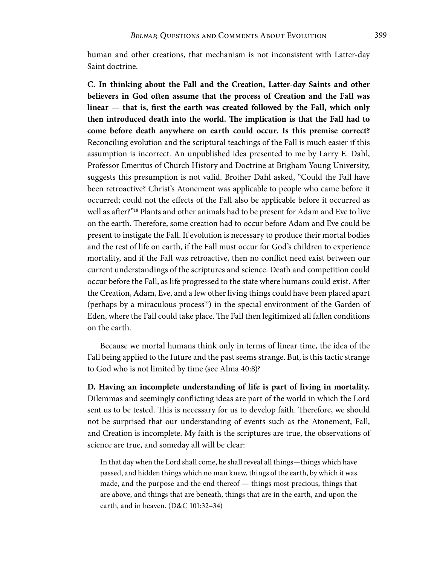human and other creations, that mechanism is not inconsistent with Latter-day Saint doctrine.

**C. In thinking about the Fall and the Creation, Latter-day Saints and other believers in God often assume that the process of Creation and the Fall was linear — that is, first the earth was created followed by the Fall, which only then introduced death into the world. The implication is that the Fall had to come before death anywhere on earth could occur. Is this premise correct?** Reconciling evolution and the scriptural teachings of the Fall is much easier if this assumption is incorrect. An unpublished idea presented to me by Larry E. Dahl, Professor Emeritus of Church History and Doctrine at Brigham Young University, suggests this presumption is not valid. Brother Dahl asked, "Could the Fall have been retroactive? Christ's Atonement was applicable to people who came before it occurred; could not the effects of the Fall also be applicable before it occurred as well as after?"18 Plants and other animals had to be present for Adam and Eve to live on the earth. Therefore, some creation had to occur before Adam and Eve could be present to instigate the Fall. If evolution is necessary to produce their mortal bodies and the rest of life on earth, if the Fall must occur for God's children to experience mortality, and if the Fall was retroactive, then no conflict need exist between our current understandings of the scriptures and science. Death and competition could occur before the Fall, as life progressed to the state where humans could exist. After the Creation, Adam, Eve, and a few other living things could have been placed apart (perhaps by a miraculous process<sup>19</sup>) in the special environment of the Garden of Eden, where the Fall could take place. The Fall then legitimized all fallen conditions on the earth.

Because we mortal humans think only in terms of linear time, the idea of the Fall being applied to the future and the past seems strange. But, is this tactic strange to God who is not limited by time (see Alma 40:8)?

**D. Having an incomplete understanding of life is part of living in mortality.**  Dilemmas and seemingly conflicting ideas are part of the world in which the Lord sent us to be tested. This is necessary for us to develop faith. Therefore, we should not be surprised that our understanding of events such as the Atonement, Fall, and Creation is incomplete. My faith is the scriptures are true, the observations of science are true, and someday all will be clear:

In that day when the Lord shall come, he shall reveal all things—things which have passed, and hidden things which no man knew, things of the earth, by which it was made, and the purpose and the end thereof — things most precious, things that are above, and things that are beneath, things that are in the earth, and upon the earth, and in heaven. (D&C 101:32–34)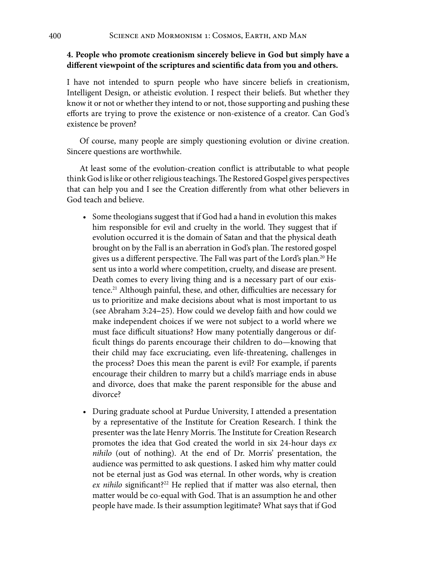#### **4. People who promote creationism sincerely believe in God but simply have a different viewpoint of the scriptures and scientific data from you and others.**

I have not intended to spurn people who have sincere beliefs in creationism, Intelligent Design, or atheistic evolution. I respect their beliefs. But whether they know it or not or whether they intend to or not, those supporting and pushing these efforts are trying to prove the existence or non-existence of a creator. Can God's existence be proven?

Of course, many people are simply questioning evolution or divine creation. Sincere questions are worthwhile.

At least some of the evolution-creation conflict is attributable to what people think God is like or other religious teachings. The Restored Gospel gives perspectives that can help you and I see the Creation differently from what other believers in God teach and believe.

- Some theologians suggest that if God had a hand in evolution this makes him responsible for evil and cruelty in the world. They suggest that if evolution occurred it is the domain of Satan and that the physical death brought on by the Fall is an aberration in God's plan. The restored gospel gives us a different perspective. The Fall was part of the Lord's plan.<sup>20</sup> He sent us into a world where competition, cruelty, and disease are present. Death comes to every living thing and is a necessary part of our existence.<sup>21</sup> Although painful, these, and other, difficulties are necessary for us to prioritize and make decisions about what is most important to us (see Abraham 3:24−25). How could we develop faith and how could we make independent choices if we were not subject to a world where we must face difficult situations? How many potentially dangerous or difficult things do parents encourage their children to do—knowing that their child may face excruciating, even life-threatening, challenges in the process? Does this mean the parent is evil? For example, if parents encourage their children to marry but a child's marriage ends in abuse and divorce, does that make the parent responsible for the abuse and divorce?
- During graduate school at Purdue University, I attended a presentation by a representative of the Institute for Creation Research. I think the presenter was the late Henry Morris. The Institute for Creation Research promotes the idea that God created the world in six 24-hour days *ex nihilo* (out of nothing). At the end of Dr. Morris' presentation, the audience was permitted to ask questions. I asked him why matter could not be eternal just as God was eternal. In other words, why is creation *ex nihilo* significant?<sup>22</sup> He replied that if matter was also eternal, then matter would be co-equal with God. That is an assumption he and other people have made. Is their assumption legitimate? What says that if God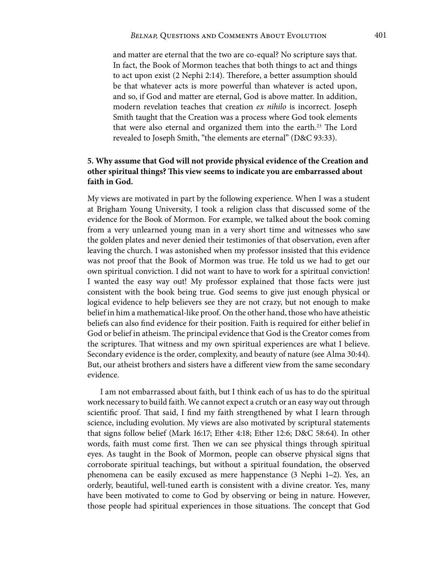and matter are eternal that the two are co-equal? No scripture says that. In fact, the Book of Mormon teaches that both things to act and things to act upon exist (2 Nephi 2:14). Therefore, a better assumption should be that whatever acts is more powerful than whatever is acted upon, and so, if God and matter are eternal, God is above matter. In addition, modern revelation teaches that creation *ex nihilo* is incorrect. Joseph Smith taught that the Creation was a process where God took elements that were also eternal and organized them into the earth.<sup>23</sup> The Lord revealed to Joseph Smith, "the elements are eternal" (D&C 93:33).

#### **5. Why assume that God will not provide physical evidence of the Creation and other spiritual things? This view seems to indicate you are embarrassed about faith in God.**

My views are motivated in part by the following experience. When I was a student at Brigham Young University, I took a religion class that discussed some of the evidence for the Book of Mormon. For example, we talked about the book coming from a very unlearned young man in a very short time and witnesses who saw the golden plates and never denied their testimonies of that observation, even after leaving the church. I was astonished when my professor insisted that this evidence was not proof that the Book of Mormon was true. He told us we had to get our own spiritual conviction. I did not want to have to work for a spiritual conviction! I wanted the easy way out! My professor explained that those facts were just consistent with the book being true. God seems to give just enough physical or logical evidence to help believers see they are not crazy, but not enough to make belief in him a mathematical-like proof. On the other hand, those who have atheistic beliefs can also find evidence for their position. Faith is required for either belief in God or belief in atheism. The principal evidence that God is the Creator comes from the scriptures. That witness and my own spiritual experiences are what I believe. Secondary evidence is the order, complexity, and beauty of nature (see Alma 30:44). But, our atheist brothers and sisters have a different view from the same secondary evidence.

I am not embarrassed about faith, but I think each of us has to do the spiritual work necessary to build faith. We cannot expect a crutch or an easy way out through scientific proof. That said, I find my faith strengthened by what I learn through science, including evolution. My views are also motivated by scriptural statements that signs follow belief (Mark 16:17; Ether 4:18; Ether 12:6; D&C 58:64). In other words, faith must come first. Then we can see physical things through spiritual eyes. As taught in the Book of Mormon, people can observe physical signs that corroborate spiritual teachings, but without a spiritual foundation, the observed phenomena can be easily excused as mere happenstance (3 Nephi 1−2). Yes, an orderly, beautiful, well-tuned earth is consistent with a divine creator. Yes, many have been motivated to come to God by observing or being in nature. However, those people had spiritual experiences in those situations. The concept that God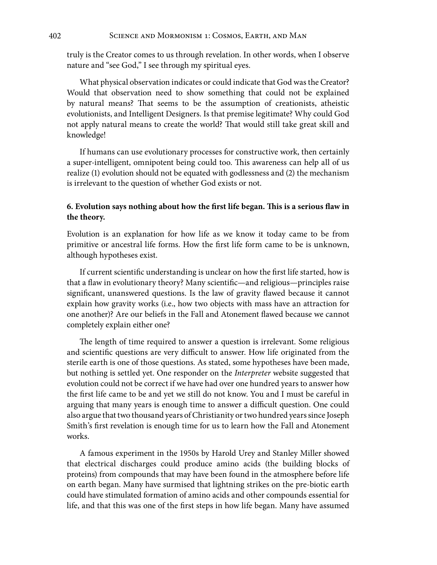truly is the Creator comes to us through revelation. In other words, when I observe nature and "see God," I see through my spiritual eyes.

What physical observation indicates or could indicate that God was the Creator? Would that observation need to show something that could not be explained by natural means? That seems to be the assumption of creationists, atheistic evolutionists, and Intelligent Designers. Is that premise legitimate? Why could God not apply natural means to create the world? That would still take great skill and knowledge!

If humans can use evolutionary processes for constructive work, then certainly a super-intelligent, omnipotent being could too. This awareness can help all of us realize (1) evolution should not be equated with godlessness and (2) the mechanism is irrelevant to the question of whether God exists or not.

#### **6. Evolution says nothing about how the first life began. This is a serious flaw in the theory.**

Evolution is an explanation for how life as we know it today came to be from primitive or ancestral life forms. How the first life form came to be is unknown, although hypotheses exist.

If current scientific understanding is unclear on how the first life started, how is that a flaw in evolutionary theory? Many scientific—and religious—principles raise significant, unanswered questions. Is the law of gravity flawed because it cannot explain how gravity works (i.e., how two objects with mass have an attraction for one another)? Are our beliefs in the Fall and Atonement flawed because we cannot completely explain either one?

The length of time required to answer a question is irrelevant. Some religious and scientific questions are very difficult to answer. How life originated from the sterile earth is one of those questions. As stated, some hypotheses have been made, but nothing is settled yet. One responder on the *Interpreter* website suggested that evolution could not be correct if we have had over one hundred years to answer how the first life came to be and yet we still do not know. You and I must be careful in arguing that many years is enough time to answer a difficult question. One could also argue that two thousand years of Christianity or two hundred years since Joseph Smith's first revelation is enough time for us to learn how the Fall and Atonement works.

A famous experiment in the 1950s by Harold Urey and Stanley Miller showed that electrical discharges could produce amino acids (the building blocks of proteins) from compounds that may have been found in the atmosphere before life on earth began. Many have surmised that lightning strikes on the pre-biotic earth could have stimulated formation of amino acids and other compounds essential for life, and that this was one of the first steps in how life began. Many have assumed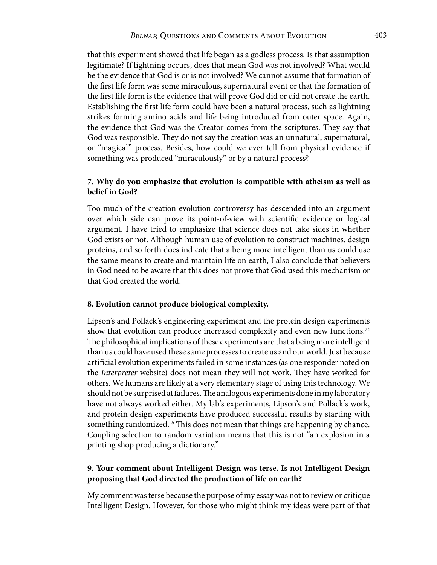that this experiment showed that life began as a godless process. Is that assumption legitimate? If lightning occurs, does that mean God was not involved? What would be the evidence that God is or is not involved? We cannot assume that formation of the first life form was some miraculous, supernatural event or that the formation of the first life form is the evidence that will prove God did or did not create the earth. Establishing the first life form could have been a natural process, such as lightning strikes forming amino acids and life being introduced from outer space. Again, the evidence that God was the Creator comes from the scriptures. They say that God was responsible. They do not say the creation was an unnatural, supernatural, or "magical" process. Besides, how could we ever tell from physical evidence if something was produced "miraculously" or by a natural process?

#### **7. Why do you emphasize that evolution is compatible with atheism as well as belief in God?**

Too much of the creation-evolution controversy has descended into an argument over which side can prove its point-of-view with scientific evidence or logical argument. I have tried to emphasize that science does not take sides in whether God exists or not. Although human use of evolution to construct machines, design proteins, and so forth does indicate that a being more intelligent than us could use the same means to create and maintain life on earth, I also conclude that believers in God need to be aware that this does not prove that God used this mechanism or that God created the world.

#### **8. Evolution cannot produce biological complexity.**

Lipson's and Pollack's engineering experiment and the protein design experiments show that evolution can produce increased complexity and even new functions.<sup>24</sup> The philosophical implications of these experiments are that a being more intelligent than us could have used these same processes to create us and our world. Just because artificial evolution experiments failed in some instances (as one responder noted on the *Interpreter* website) does not mean they will not work. They have worked for others. We humans are likely at a very elementary stage of using this technology. We should not be surprised at failures. The analogous experiments done in my laboratory have not always worked either. My lab's experiments, Lipson's and Pollack's work, and protein design experiments have produced successful results by starting with something randomized.<sup>25</sup> This does not mean that things are happening by chance. Coupling selection to random variation means that this is not "an explosion in a printing shop producing a dictionary."

#### **9. Your comment about Intelligent Design was terse. Is not Intelligent Design proposing that God directed the production of life on earth?**

My comment was terse because the purpose of my essay was not to review or critique Intelligent Design. However, for those who might think my ideas were part of that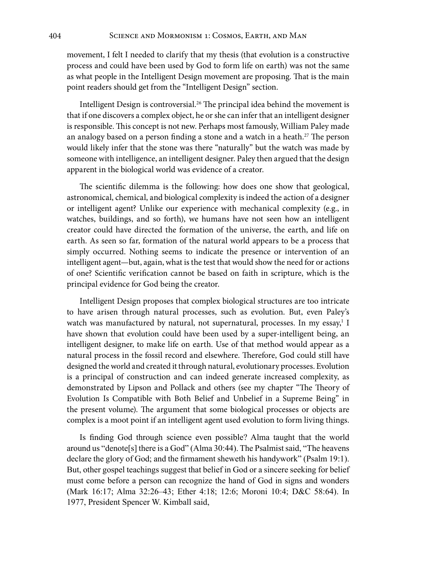movement, I felt I needed to clarify that my thesis (that evolution is a constructive process and could have been used by God to form life on earth) was not the same as what people in the Intelligent Design movement are proposing. That is the main point readers should get from the "Intelligent Design" section.

Intelligent Design is controversial.<sup>26</sup> The principal idea behind the movement is that if one discovers a complex object, he or she can infer that an intelligent designer is responsible. This concept is not new. Perhaps most famously, William Paley made an analogy based on a person finding a stone and a watch in a heath.<sup>27</sup> The person would likely infer that the stone was there "naturally" but the watch was made by someone with intelligence, an intelligent designer. Paley then argued that the design apparent in the biological world was evidence of a creator.

The scientific dilemma is the following: how does one show that geological, astronomical, chemical, and biological complexity is indeed the action of a designer or intelligent agent? Unlike our experience with mechanical complexity (e.g., in watches, buildings, and so forth), we humans have not seen how an intelligent creator could have directed the formation of the universe, the earth, and life on earth. As seen so far, formation of the natural world appears to be a process that simply occurred. Nothing seems to indicate the presence or intervention of an intelligent agent—but, again, what is the test that would show the need for or actions of one? Scientific verification cannot be based on faith in scripture, which is the principal evidence for God being the creator.

Intelligent Design proposes that complex biological structures are too intricate to have arisen through natural processes, such as evolution. But, even Paley's watch was manufactured by natural, not supernatural, processes. In my essay,<sup>1</sup> I have shown that evolution could have been used by a super-intelligent being, an intelligent designer, to make life on earth. Use of that method would appear as a natural process in the fossil record and elsewhere. Therefore, God could still have designed the world and created it through natural, evolutionary processes. Evolution is a principal of construction and can indeed generate increased complexity, as demonstrated by Lipson and Pollack and others (see my chapter "The Theory of Evolution Is Compatible with Both Belief and Unbelief in a Supreme Being" in the present volume). The argument that some biological processes or objects are complex is a moot point if an intelligent agent used evolution to form living things.

Is finding God through science even possible? Alma taught that the world around us "denote[s] there is a God" (Alma 30:44). The Psalmist said, "The heavens declare the glory of God; and the firmament sheweth his handywork" (Psalm 19:1). But, other gospel teachings suggest that belief in God or a sincere seeking for belief must come before a person can recognize the hand of God in signs and wonders (Mark 16:17; Alma 32:26–43; Ether 4:18; 12:6; Moroni 10:4; D&C 58:64). In 1977, President Spencer W. Kimball said,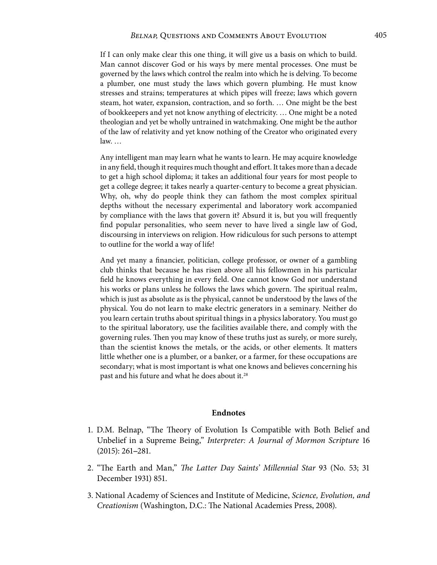If I can only make clear this one thing, it will give us a basis on which to build. Man cannot discover God or his ways by mere mental processes. One must be governed by the laws which control the realm into which he is delving. To become a plumber, one must study the laws which govern plumbing. He must know stresses and strains; temperatures at which pipes will freeze; laws which govern steam, hot water, expansion, contraction, and so forth. … One might be the best of bookkeepers and yet not know anything of electricity. … One might be a noted theologian and yet be wholly untrained in watchmaking. One might be the author of the law of relativity and yet know nothing of the Creator who originated every law. …

Any intelligent man may learn what he wants to learn. He may acquire knowledge in any field, though it requires much thought and effort. It takes more than a decade to get a high school diploma; it takes an additional four years for most people to get a college degree; it takes nearly a quarter-century to become a great physician. Why, oh, why do people think they can fathom the most complex spiritual depths without the necessary experimental and laboratory work accompanied by compliance with the laws that govern it? Absurd it is, but you will frequently find popular personalities, who seem never to have lived a single law of God, discoursing in interviews on religion. How ridiculous for such persons to attempt to outline for the world a way of life!

And yet many a financier, politician, college professor, or owner of a gambling club thinks that because he has risen above all his fellowmen in his particular field he knows everything in every field. One cannot know God nor understand his works or plans unless he follows the laws which govern. The spiritual realm, which is just as absolute as is the physical, cannot be understood by the laws of the physical. You do not learn to make electric generators in a seminary. Neither do you learn certain truths about spiritual things in a physics laboratory. You must go to the spiritual laboratory, use the facilities available there, and comply with the governing rules. Then you may know of these truths just as surely, or more surely, than the scientist knows the metals, or the acids, or other elements. It matters little whether one is a plumber, or a banker, or a farmer, for these occupations are secondary; what is most important is what one knows and believes concerning his past and his future and what he does about it.28

#### **Endnotes**

- 1. D.M. Belnap, "The Theory of Evolution Is Compatible with Both Belief and Unbelief in a Supreme Being," *Interpreter: A Journal of Mormon Scripture* 16 (2015): 261−281.
- 2. "The Earth and Man," *The Latter Day Saints' Millennial Star* 93 (No. 53; 31 December 1931) 851.
- 3. National Academy of Sciences and Institute of Medicine, *Science, Evolution, and Creationism* (Washington, D.C.: The National Academies Press, 2008).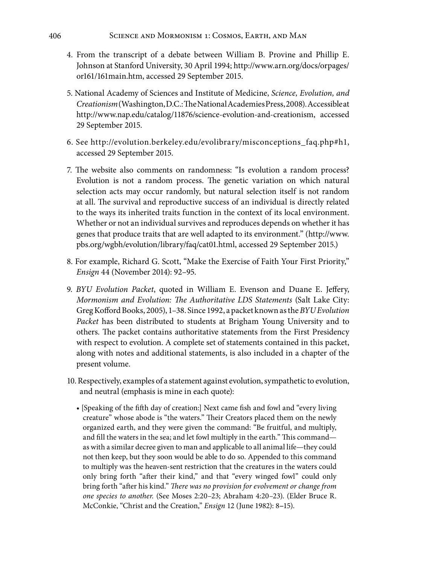- 4. From the transcript of a debate between William B. Provine and Phillip E. Johnson at Stanford University, 30 April 1994; http://www.arn.org/docs/orpages/ or161/161main.htm, accessed 29 September 2015.
- 5. National Academy of Sciences and Institute of Medicine, *Science, Evolution, and Creationism* (Washington, D.C.: The National Academies Press, 2008). Accessible at http://www.nap.edu/catalog/11876/science-evolution-and-creationism, accessed 29 September 2015.
- 6. See http://evolution.berkeley.edu/evolibrary/misconceptions\_faq.php#h1, accessed 29 September 2015.
- 7. The website also comments on randomness: "Is evolution a random process? Evolution is not a random process. The genetic variation on which natural selection acts may occur randomly, but natural selection itself is not random at all. The survival and reproductive success of an individual is directly related to the ways its inherited traits function in the context of its local environment. Whether or not an individual survives and reproduces depends on whether it has genes that produce traits that are well adapted to its environment." (http://www. pbs.org/wgbh/evolution/library/faq/cat01.html, accessed 29 September 2015.)
- 8. For example, Richard G. Scott, "Make the Exercise of Faith Your First Priority," *Ensign* 44 (November 2014): 92–95.
- 9. *BYU Evolution Packet*, quoted in William E. Evenson and Duane E. Jeffery, *Mormonism and Evolution: The Authoritative LDS Statements* (Salt Lake City: Greg Kofford Books, 2005), 1–38. Since 1992, a packet known as the *BYU Evolution Packet* has been distributed to students at Brigham Young University and to others. The packet contains authoritative statements from the First Presidency with respect to evolution. A complete set of statements contained in this packet, along with notes and additional statements, is also included in a chapter of the present volume.
- 10. Respectively, examples of a statement against evolution, sympathetic to evolution, and neutral (emphasis is mine in each quote):
	- [Speaking of the fifth day of creation:] Next came fish and fowl and "every living creature" whose abode is "the waters." Their Creators placed them on the newly organized earth, and they were given the command: "Be fruitful, and multiply, and fill the waters in the sea; and let fowl multiply in the earth." This command as with a similar decree given to man and applicable to all animal life—they could not then keep, but they soon would be able to do so. Appended to this command to multiply was the heaven-sent restriction that the creatures in the waters could only bring forth "after their kind," and that "every winged fowl" could only bring forth "after his kind." *There was no provision for evolvement or change from one species to another.* (See Moses 2:20–23; Abraham 4:20–23). (Elder Bruce R. McConkie, "Christ and the Creation," *Ensign* 12 (June 1982): 8−15).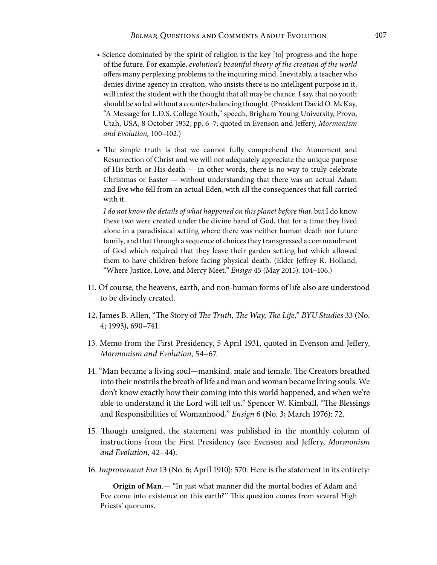- Science dominated by the spirit of religion is the key [to] progress and the hope of the future. For example, *evolution's beautiful theory of the creation of the world* offers many perplexing problems to the inquiring mind. Inevitably, a teacher who denies divine agency in creation, who insists there is no intelligent purpose in it, will infest the student with the thought that all may be chance. I say, that no youth should be so led without a counter-balancing thought. (President David O. McKay, "A Message for L.D.S. College Youth," speech, Brigham Young University, Provo, Utah, USA, 8 October 1952, pp. 6–7; quoted in Evenson and Jeffery, *Mormonism and Evolution,* 100–102.)
- The simple truth is that we cannot fully comprehend the Atonement and Resurrection of Christ and we will not adequately appreciate the unique purpose of His birth or His death — in other words, there is no way to truly celebrate Christmas or Easter — without understanding that there was an actual Adam and Eve who fell from an actual Eden, with all the consequences that fall carried with it.

*I do not know the details of what happened on this planet before that*, but I do know these two were created under the divine hand of God, that for a time they lived alone in a paradisiacal setting where there was neither human death nor future family, and that through a sequence of choices they transgressed a commandment of God which required that they leave their garden setting but which allowed them to have children before facing physical death. (Elder Jeffrey R. Holland, "Where Justice, Love, and Mercy Meet," *Ensign* 45 (May 2015): 104−106.)

- 11. Of course, the heavens, earth, and non-human forms of life also are understood to be divinely created.
- 12. James B. Allen, "The Story of *The Truth, The Way, The Life,*" *BYU Studies* 33 (No. 4; 1993), 690–741.
- 13. Memo from the First Presidency, 5 April 1931, quoted in Evenson and Jeffery, *Mormonism and Evolution,* 54–67.
- 14. "Man became a living soul—mankind, male and female. The Creators breathed into their nostrils the breath of life and man and woman became living souls. We don't know exactly how their coming into this world happened, and when we're able to understand it the Lord will tell us." Spencer W. Kimball, "The Blessings and Responsibilities of Womanhood," *Ensign* 6 (No. 3; March 1976): 72.
- 15. Though unsigned, the statement was published in the monthly column of instructions from the First Presidency (see Evenson and Jeffery, *Mormonism and Evolution,* 42–44).
- 16. *Improvement Era* 13 (No. 6; April 1910): 570. Here is the statement in its entirety:

**Origin of Man**.— "In just what manner did the mortal bodies of Adam and Eve come into existence on this earth?'' This question comes from several High Priests' quorums.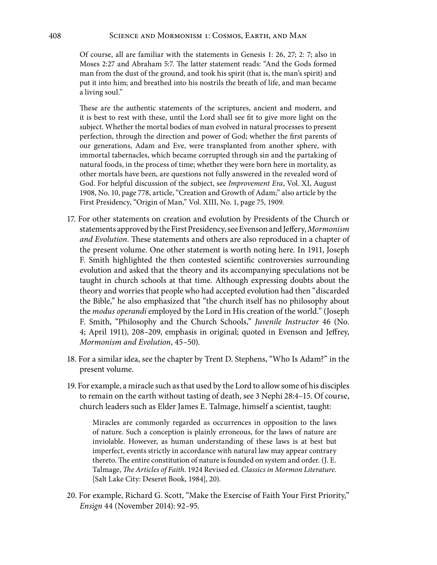Of course, all are familiar with the statements in Genesis 1: 26, 27; 2: 7; also in Moses 2:27 and Abraham 5:7. The latter statement reads: "And the Gods formed man from the dust of the ground, and took his spirit (that is, the man's spirit) and put it into him; and breathed into his nostrils the breath of life, and man became a living soul."

These are the authentic statements of the scriptures, ancient and modern, and it is best to rest with these, until the Lord shall see fit to give more light on the subject. Whether the mortal bodies of man evolved in natural processes to present perfection, through the direction and power of God; whether the first parents of our generations, Adam and Eve, were transplanted from another sphere, with immortal tabernacles, which became corrupted through sin and the partaking of natural foods, in the process of time; whether they were born here in mortality, as other mortals have been, are questions not fully answered in the revealed word of God. For helpful discussion of the subject, see *Improvement Era*, Vol. XI, August 1908, No. 10, page 778, article, "Creation and Growth of Adam;" also article by the First Presidency, "Origin of Man," Vol. XIII, No. 1, page 75, 1909.

- 17. For other statements on creation and evolution by Presidents of the Church or statements approved by the First Presidency, see Evenson and Jeffery, *Mormonism and Evolution*. These statements and others are also reproduced in a chapter of the present volume. One other statement is worth noting here. In 1911, Joseph F. Smith highlighted the then contested scientific controversies surrounding evolution and asked that the theory and its accompanying speculations not be taught in church schools at that time. Although expressing doubts about the theory and worries that people who had accepted evolution had then "discarded the Bible," he also emphasized that "the church itself has no philosophy about the *modus operandi* employed by the Lord in His creation of the world." (Joseph F. Smith, "Philosophy and the Church Schools," *Juvenile Instructor* 46 (No. 4; April 1911), 208–209, emphasis in original; quoted in Evenson and Jeffrey, *Mormonism and Evolution*, 45–50).
- 18. For a similar idea, see the chapter by Trent D. Stephens, "Who Is Adam?" in the present volume.
- 19. For example, a miracle such as that used by the Lord to allow some of his disciples to remain on the earth without tasting of death, see 3 Nephi 28:4–15. Of course, church leaders such as Elder James E. Talmage, himself a scientist, taught:

Miracles are commonly regarded as occurrences in opposition to the laws of nature. Such a conception is plainly erroneous, for the laws of nature are inviolable. However, as human understanding of these laws is at best but imperfect, events strictly in accordance with natural law may appear contrary thereto. The entire constitution of nature is founded on system and order. (J. E. Talmage, *The Articles of Faith*. 1924 Revised ed. *Classics in Mormon Literature*. [Salt Lake City: Deseret Book, 1984], 20).

20. For example, Richard G. Scott, "Make the Exercise of Faith Your First Priority," *Ensign* 44 (November 2014): 92–95.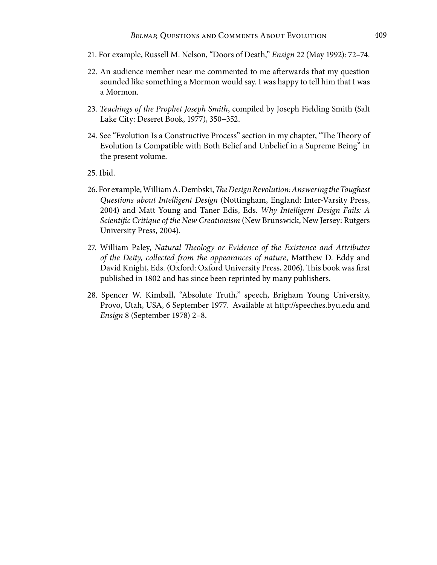- 21. For example, Russell M. Nelson, "Doors of Death," *Ensign* 22 (May 1992): 72–74.
- 22. An audience member near me commented to me afterwards that my question sounded like something a Mormon would say. I was happy to tell him that I was a Mormon.
- 23. *Teachings of the Prophet Joseph Smith*, compiled by Joseph Fielding Smith (Salt Lake City: Deseret Book, 1977), 350−352.
- 24. See "Evolution Is a Constructive Process" section in my chapter, "The Theory of Evolution Is Compatible with Both Belief and Unbelief in a Supreme Being" in the present volume.
- 25. Ibid.
- 26. For example, William A. Dembski, *The Design Revolution: Answering the Toughest Questions about Intelligent Design* (Nottingham, England: Inter-Varsity Press, 2004) and Matt Young and Taner Edis, Eds. *Why Intelligent Design Fails: A Scientific Critique of the New Creationism* (New Brunswick, New Jersey: Rutgers University Press, 2004).
- 27. William Paley, *Natural Theology or Evidence of the Existence and Attributes of the Deity, collected from the appearances of nature*, Matthew D. Eddy and David Knight, Eds. (Oxford: Oxford University Press, 2006). This book was first published in 1802 and has since been reprinted by many publishers.
- 28. Spencer W. Kimball, "Absolute Truth," speech, Brigham Young University, Provo, Utah, USA, 6 September 1977. Available at http://speeches.byu.edu and *Ensign* 8 (September 1978) 2–8.